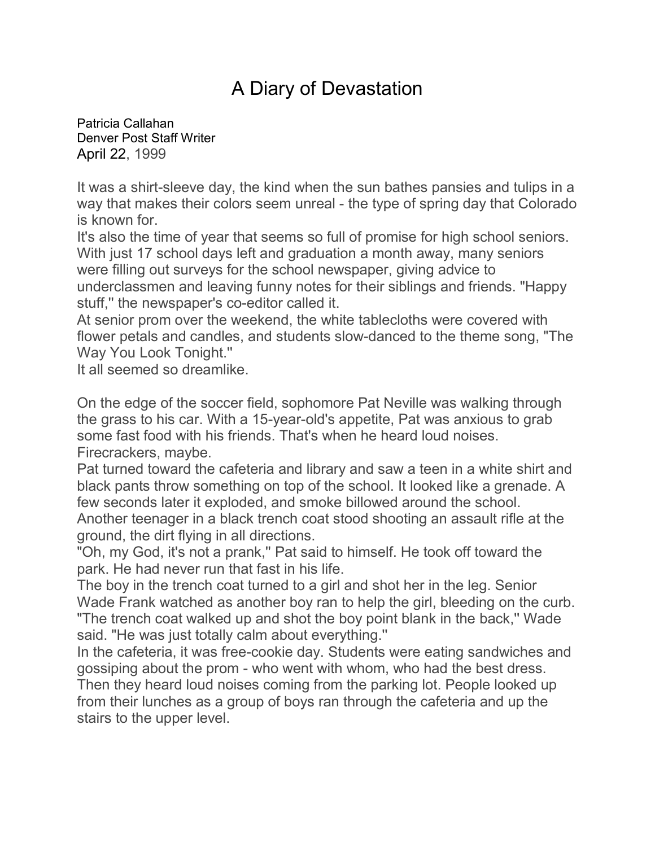## A Diary of Devastation

[Patricia Callahan](mailto:Pcallahan@denverpost.com) Denver Post Staff Writer April 22, 1999

It was a shirt-sleeve day, the kind when the sun bathes pansies and tulips in a way that makes their colors seem unreal - the type of spring day that Colorado is known for.

It's also the time of year that seems so full of promise for high school seniors. With just 17 school days left and graduation a month away, many seniors were filling out surveys for the school newspaper, giving advice to underclassmen and leaving funny notes for their siblings and friends. "Happy stuff,'' the newspaper's co-editor called it.

At senior prom over the weekend, the white tablecloths were covered with flower petals and candles, and students slow-danced to the theme song, "The Way You Look Tonight.''

It all seemed so dreamlike.

On the edge of the soccer field, sophomore Pat Neville was walking through the grass to his car. With a 15-year-old's appetite, Pat was anxious to grab some fast food with his friends. That's when he heard loud noises. Firecrackers, maybe.

Pat turned toward the cafeteria and library and saw a teen in a white shirt and black pants throw something on top of the school. It looked like a grenade. A few seconds later it exploded, and smoke billowed around the school.

Another teenager in a black trench coat stood shooting an assault rifle at the ground, the dirt flying in all directions.

"Oh, my God, it's not a prank,'' Pat said to himself. He took off toward the park. He had never run that fast in his life.

The boy in the trench coat turned to a girl and shot her in the leg. Senior Wade Frank watched as another boy ran to help the girl, bleeding on the curb. "The trench coat walked up and shot the boy point blank in the back,'' Wade said. "He was just totally calm about everything.''

In the cafeteria, it was free-cookie day. Students were eating sandwiches and gossiping about the prom - who went with whom, who had the best dress. Then they heard loud noises coming from the parking lot. People looked up from their lunches as a group of boys ran through the cafeteria and up the stairs to the upper level.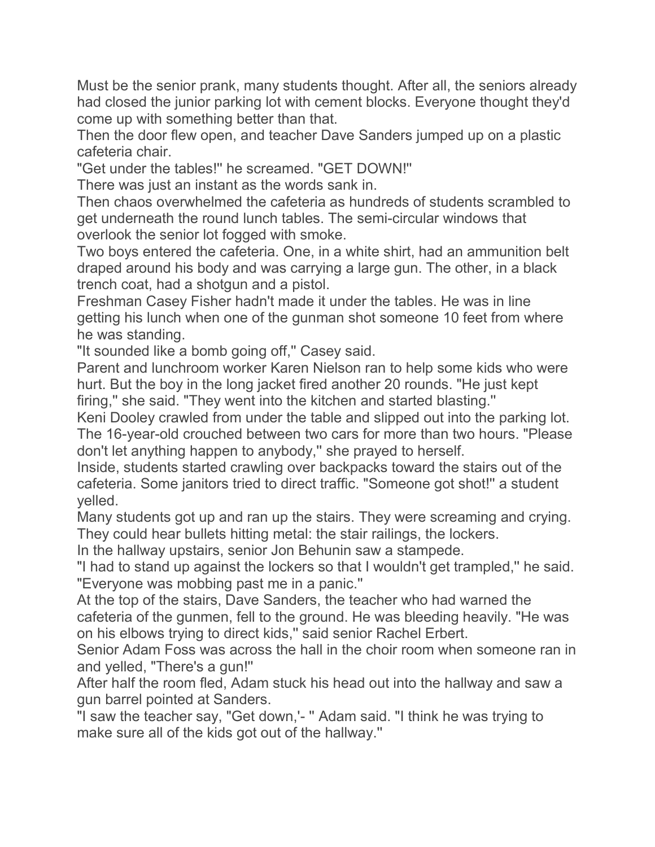Must be the senior prank, many students thought. After all, the seniors already had closed the junior parking lot with cement blocks. Everyone thought they'd come up with something better than that.

Then the door flew open, and teacher Dave Sanders jumped up on a plastic cafeteria chair.

"Get under the tables!'' he screamed. "GET DOWN!''

There was just an instant as the words sank in.

Then chaos overwhelmed the cafeteria as hundreds of students scrambled to get underneath the round lunch tables. The semi-circular windows that overlook the senior lot fogged with smoke.

Two boys entered the cafeteria. One, in a white shirt, had an ammunition belt draped around his body and was carrying a large gun. The other, in a black trench coat, had a shotgun and a pistol.

Freshman Casey Fisher hadn't made it under the tables. He was in line getting his lunch when one of the gunman shot someone 10 feet from where he was standing.

"It sounded like a bomb going off,'' Casey said.

Parent and lunchroom worker Karen Nielson ran to help some kids who were hurt. But the boy in the long jacket fired another 20 rounds. "He just kept firing,'' she said. "They went into the kitchen and started blasting.''

Keni Dooley crawled from under the table and slipped out into the parking lot. The 16-year-old crouched between two cars for more than two hours. "Please don't let anything happen to anybody,'' she prayed to herself.

Inside, students started crawling over backpacks toward the stairs out of the cafeteria. Some janitors tried to direct traffic. "Someone got shot!'' a student yelled.

Many students got up and ran up the stairs. They were screaming and crying. They could hear bullets hitting metal: the stair railings, the lockers.

In the hallway upstairs, senior Jon Behunin saw a stampede.

"I had to stand up against the lockers so that I wouldn't get trampled,'' he said. "Everyone was mobbing past me in a panic.''

At the top of the stairs, Dave Sanders, the teacher who had warned the cafeteria of the gunmen, fell to the ground. He was bleeding heavily. "He was on his elbows trying to direct kids,'' said senior Rachel Erbert.

Senior Adam Foss was across the hall in the choir room when someone ran in and yelled, "There's a gun!''

After half the room fled, Adam stuck his head out into the hallway and saw a gun barrel pointed at Sanders.

"I saw the teacher say, "Get down,'- '' Adam said. "I think he was trying to make sure all of the kids got out of the hallway.''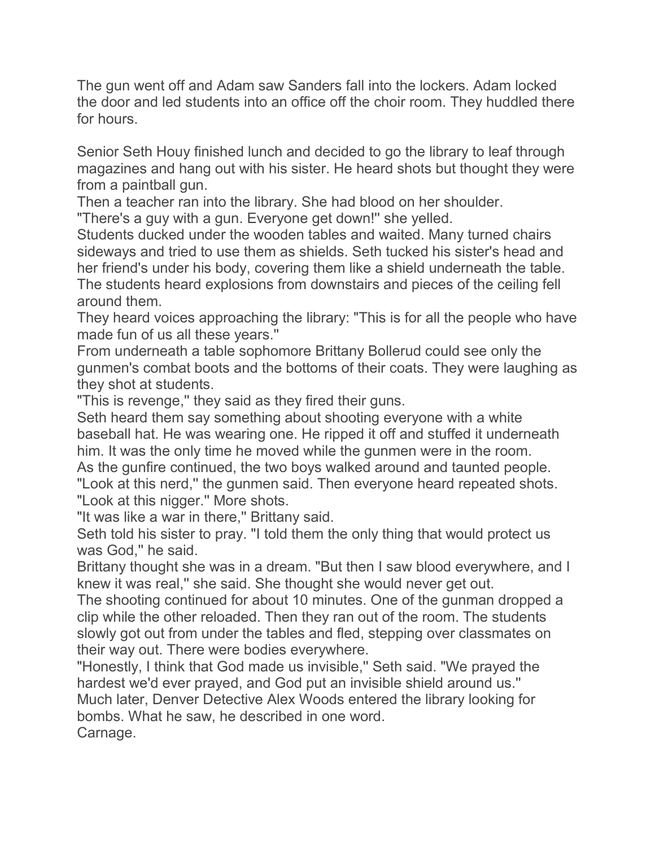The gun went off and Adam saw Sanders fall into the lockers. Adam locked the door and led students into an office off the choir room. They huddled there for hours.

Senior Seth Houy finished lunch and decided to go the library to leaf through magazines and hang out with his sister. He heard shots but thought they were from a paintball gun.

Then a teacher ran into the library. She had blood on her shoulder.

"There's a guy with a gun. Everyone get down!'' she yelled.

Students ducked under the wooden tables and waited. Many turned chairs sideways and tried to use them as shields. Seth tucked his sister's head and her friend's under his body, covering them like a shield underneath the table. The students heard explosions from downstairs and pieces of the ceiling fell around them.

They heard voices approaching the library: "This is for all the people who have made fun of us all these years.''

From underneath a table sophomore Brittany Bollerud could see only the gunmen's combat boots and the bottoms of their coats. They were laughing as they shot at students.

"This is revenge,'' they said as they fired their guns.

Seth heard them say something about shooting everyone with a white baseball hat. He was wearing one. He ripped it off and stuffed it underneath him. It was the only time he moved while the gunmen were in the room. As the gunfire continued, the two boys walked around and taunted people. "Look at this nerd,'' the gunmen said. Then everyone heard repeated shots. "Look at this nigger.'' More shots.

"It was like a war in there,'' Brittany said.

Seth told his sister to pray. "I told them the only thing that would protect us was God,'' he said.

Brittany thought she was in a dream. "But then I saw blood everywhere, and I knew it was real,'' she said. She thought she would never get out.

The shooting continued for about 10 minutes. One of the gunman dropped a clip while the other reloaded. Then they ran out of the room. The students slowly got out from under the tables and fled, stepping over classmates on their way out. There were bodies everywhere.

"Honestly, I think that God made us invisible,'' Seth said. "We prayed the hardest we'd ever prayed, and God put an invisible shield around us.'' Much later, Denver Detective Alex Woods entered the library looking for bombs. What he saw, he described in one word. Carnage.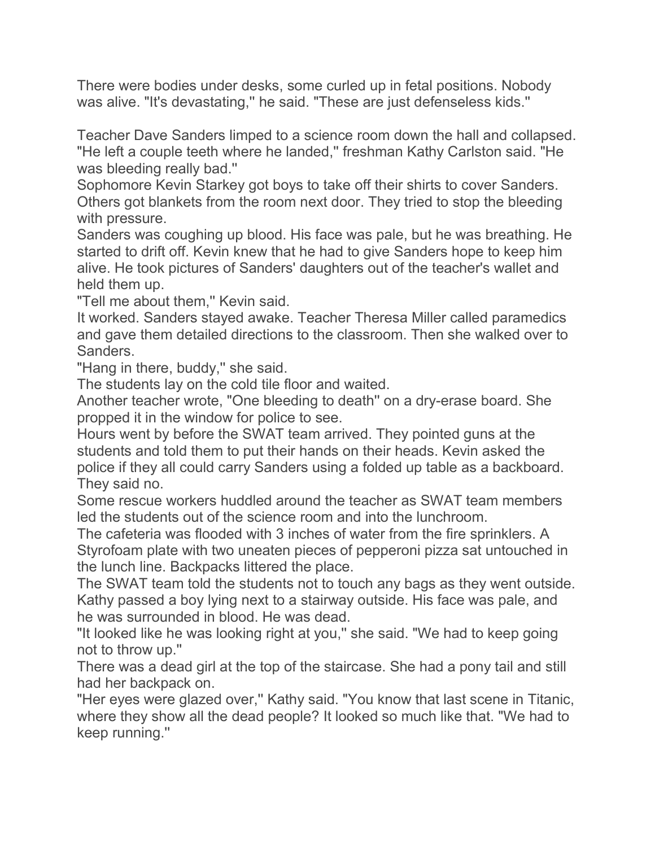There were bodies under desks, some curled up in fetal positions. Nobody was alive. "It's devastating,'' he said. "These are just defenseless kids.''

Teacher Dave Sanders limped to a science room down the hall and collapsed. "He left a couple teeth where he landed," freshman Kathy Carlston said. "He was bleeding really bad.''

Sophomore Kevin Starkey got boys to take off their shirts to cover Sanders. Others got blankets from the room next door. They tried to stop the bleeding with pressure.

Sanders was coughing up blood. His face was pale, but he was breathing. He started to drift off. Kevin knew that he had to give Sanders hope to keep him alive. He took pictures of Sanders' daughters out of the teacher's wallet and held them up.

"Tell me about them,'' Kevin said.

It worked. Sanders stayed awake. Teacher Theresa Miller called paramedics and gave them detailed directions to the classroom. Then she walked over to Sanders.

"Hang in there, buddy,'' she said.

The students lay on the cold tile floor and waited.

Another teacher wrote, "One bleeding to death'' on a dry-erase board. She propped it in the window for police to see.

Hours went by before the SWAT team arrived. They pointed guns at the students and told them to put their hands on their heads. Kevin asked the police if they all could carry Sanders using a folded up table as a backboard. They said no.

Some rescue workers huddled around the teacher as SWAT team members led the students out of the science room and into the lunchroom.

The cafeteria was flooded with 3 inches of water from the fire sprinklers. A Styrofoam plate with two uneaten pieces of pepperoni pizza sat untouched in the lunch line. Backpacks littered the place.

The SWAT team told the students not to touch any bags as they went outside. Kathy passed a boy lying next to a stairway outside. His face was pale, and he was surrounded in blood. He was dead.

"It looked like he was looking right at you,'' she said. "We had to keep going not to throw up.''

There was a dead girl at the top of the staircase. She had a pony tail and still had her backpack on.

"Her eyes were glazed over," Kathy said. "You know that last scene in Titanic, where they show all the dead people? It looked so much like that. "We had to keep running.''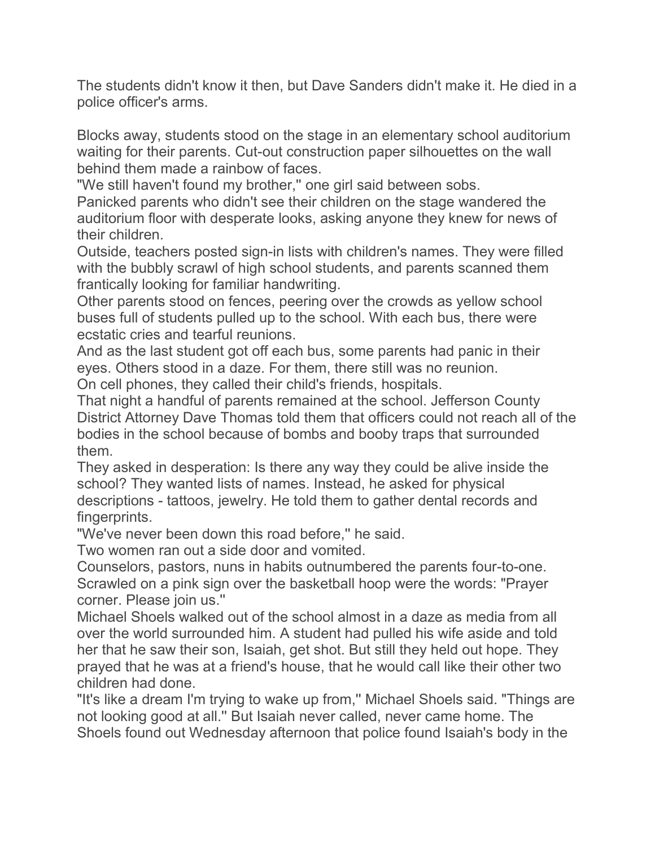The students didn't know it then, but Dave Sanders didn't make it. He died in a police officer's arms.

Blocks away, students stood on the stage in an elementary school auditorium waiting for their parents. Cut-out construction paper silhouettes on the wall behind them made a rainbow of faces.

"We still haven't found my brother," one girl said between sobs.

Panicked parents who didn't see their children on the stage wandered the auditorium floor with desperate looks, asking anyone they knew for news of their children.

Outside, teachers posted sign-in lists with children's names. They were filled with the bubbly scrawl of high school students, and parents scanned them frantically looking for familiar handwriting.

Other parents stood on fences, peering over the crowds as yellow school buses full of students pulled up to the school. With each bus, there were ecstatic cries and tearful reunions.

And as the last student got off each bus, some parents had panic in their eyes. Others stood in a daze. For them, there still was no reunion. On cell phones, they called their child's friends, hospitals.

That night a handful of parents remained at the school. Jefferson County District Attorney Dave Thomas told them that officers could not reach all of the bodies in the school because of bombs and booby traps that surrounded them.

They asked in desperation: Is there any way they could be alive inside the school? They wanted lists of names. Instead, he asked for physical descriptions - tattoos, jewelry. He told them to gather dental records and fingerprints.

"We've never been down this road before,'' he said.

Two women ran out a side door and vomited.

Counselors, pastors, nuns in habits outnumbered the parents four-to-one. Scrawled on a pink sign over the basketball hoop were the words: "Prayer corner. Please join us.''

Michael Shoels walked out of the school almost in a daze as media from all over the world surrounded him. A student had pulled his wife aside and told her that he saw their son, Isaiah, get shot. But still they held out hope. They prayed that he was at a friend's house, that he would call like their other two children had done.

"It's like a dream I'm trying to wake up from,'' Michael Shoels said. "Things are not looking good at all.'' But Isaiah never called, never came home. The Shoels found out Wednesday afternoon that police found Isaiah's body in the